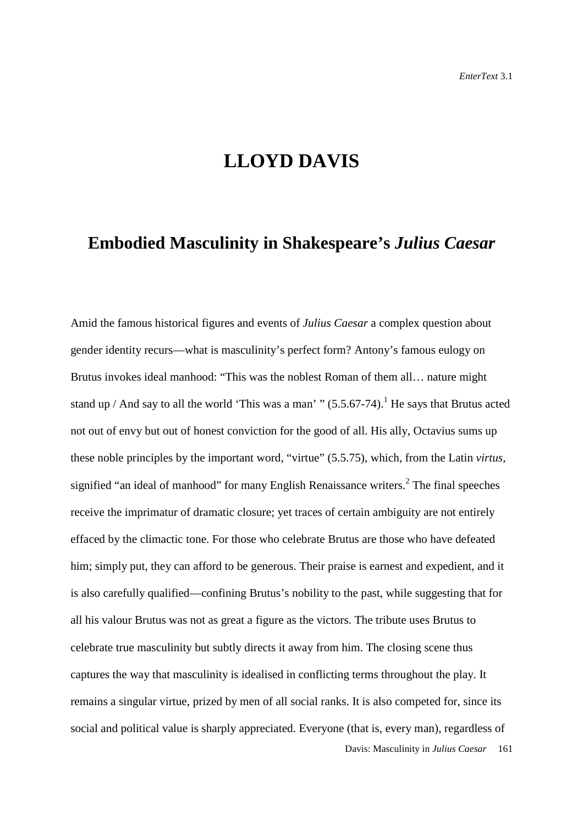# **LLOYD DAVIS**

## **Embodied Masculinity in Shakespeare's** *Julius Caesar*

 Davis: Masculinity in *Julius Caesar* 161 Amid the famous historical figures and events of *Julius Caesar* a complex question about gender identity recurs—what is masculinity's perfect form? Antony's famous eulogy on Brutus invokes ideal manhood: "This was the noblest Roman of them all… nature might stand up / And say to all the world 'This was a man' " $(5.5.67-74)$ .<sup>1</sup> He says that Brutus acted not out of envy but out of honest conviction for the good of all. His ally, Octavius sums up these noble principles by the important word, "virtue" (5.5.75), which, from the Latin *virtus*, signified "an ideal of manhood" for many English Renaissance writers.<sup>2</sup> The final speeches receive the imprimatur of dramatic closure; yet traces of certain ambiguity are not entirely effaced by the climactic tone. For those who celebrate Brutus are those who have defeated him; simply put, they can afford to be generous. Their praise is earnest and expedient, and it is also carefully qualified—confining Brutus's nobility to the past, while suggesting that for all his valour Brutus was not as great a figure as the victors. The tribute uses Brutus to celebrate true masculinity but subtly directs it away from him. The closing scene thus captures the way that masculinity is idealised in conflicting terms throughout the play. It remains a singular virtue, prized by men of all social ranks. It is also competed for, since its social and political value is sharply appreciated. Everyone (that is, every man), regardless of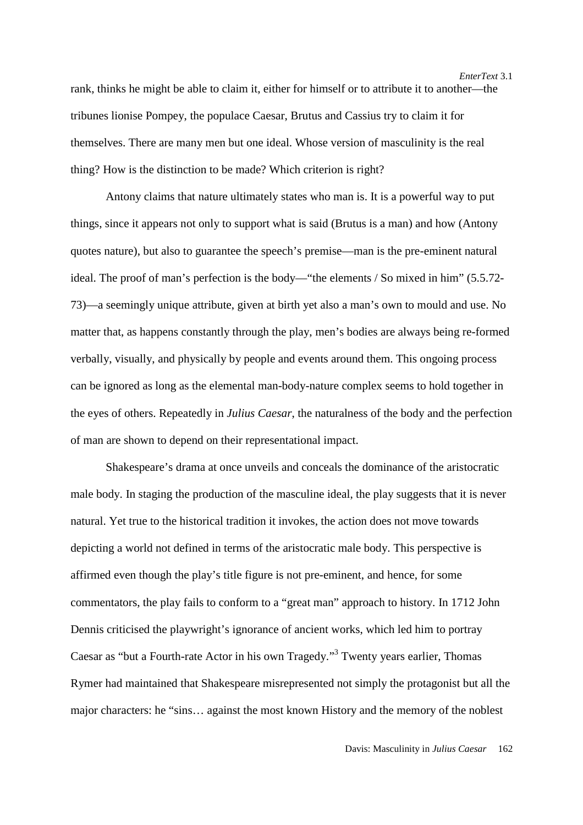rank, thinks he might be able to claim it, either for himself or to attribute it to another—the tribunes lionise Pompey, the populace Caesar, Brutus and Cassius try to claim it for themselves. There are many men but one ideal. Whose version of masculinity is the real thing? How is the distinction to be made? Which criterion is right?

Antony claims that nature ultimately states who man is. It is a powerful way to put things, since it appears not only to support what is said (Brutus is a man) and how (Antony quotes nature), but also to guarantee the speech's premise—man is the pre-eminent natural ideal. The proof of man's perfection is the body—"the elements / So mixed in him" (5.5.72- 73)—a seemingly unique attribute, given at birth yet also a man's own to mould and use. No matter that, as happens constantly through the play, men's bodies are always being re-formed verbally, visually, and physically by people and events around them. This ongoing process can be ignored as long as the elemental man-body-nature complex seems to hold together in the eyes of others. Repeatedly in *Julius Caesar*, the naturalness of the body and the perfection of man are shown to depend on their representational impact.

 Shakespeare's drama at once unveils and conceals the dominance of the aristocratic male body. In staging the production of the masculine ideal, the play suggests that it is never natural. Yet true to the historical tradition it invokes, the action does not move towards depicting a world not defined in terms of the aristocratic male body. This perspective is affirmed even though the play's title figure is not pre-eminent, and hence, for some commentators, the play fails to conform to a "great man" approach to history. In 1712 John Dennis criticised the playwright's ignorance of ancient works, which led him to portray Caesar as "but a Fourth-rate Actor in his own Tragedy."<sup>3</sup> Twenty years earlier, Thomas Rymer had maintained that Shakespeare misrepresented not simply the protagonist but all the major characters: he "sins… against the most known History and the memory of the noblest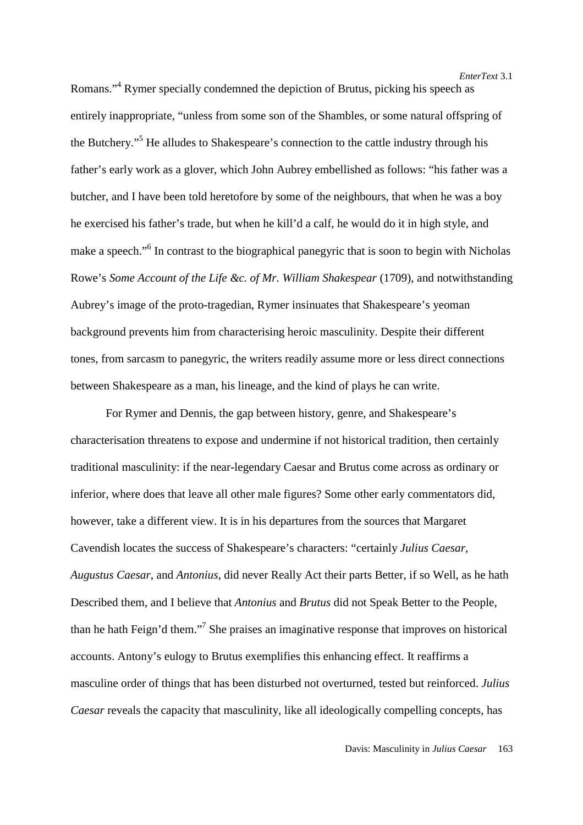Romans."<sup>4</sup> Rymer specially condemned the depiction of Brutus, picking his speech as entirely inappropriate, "unless from some son of the Shambles, or some natural offspring of the Butchery."<sup>5</sup> He alludes to Shakespeare's connection to the cattle industry through his father's early work as a glover, which John Aubrey embellished as follows: "his father was a butcher, and I have been told heretofore by some of the neighbours, that when he was a boy he exercised his father's trade, but when he kill'd a calf, he would do it in high style, and make a speech."<sup>6</sup> In contrast to the biographical panegyric that is soon to begin with Nicholas Rowe's *Some Account of the Life &c. of Mr. William Shakespear* (1709), and notwithstanding Aubrey's image of the proto-tragedian, Rymer insinuates that Shakespeare's yeoman background prevents him from characterising heroic masculinity. Despite their different tones, from sarcasm to panegyric, the writers readily assume more or less direct connections between Shakespeare as a man, his lineage, and the kind of plays he can write.

 For Rymer and Dennis, the gap between history, genre, and Shakespeare's characterisation threatens to expose and undermine if not historical tradition, then certainly traditional masculinity: if the near-legendary Caesar and Brutus come across as ordinary or inferior, where does that leave all other male figures? Some other early commentators did, however, take a different view. It is in his departures from the sources that Margaret Cavendish locates the success of Shakespeare's characters: "certainly *Julius Caesar*, *Augustus Caesar*, and *Antonius*, did never Really Act their parts Better, if so Well, as he hath Described them, and I believe that *Antonius* and *Brutus* did not Speak Better to the People, than he hath Feign'd them."<sup>7</sup> She praises an imaginative response that improves on historical accounts. Antony's eulogy to Brutus exemplifies this enhancing effect. It reaffirms a masculine order of things that has been disturbed not overturned, tested but reinforced. *Julius Caesar* reveals the capacity that masculinity, like all ideologically compelling concepts, has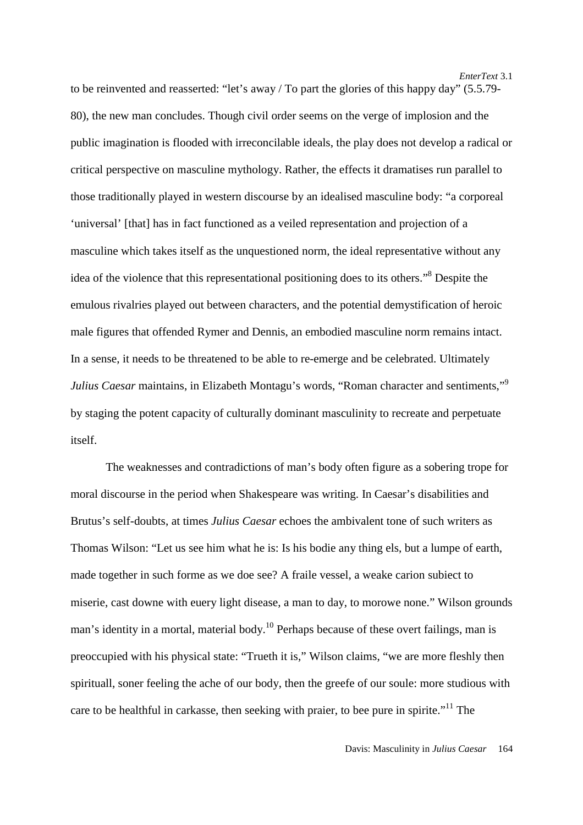to be reinvented and reasserted: "let's away / To part the glories of this happy day" (5.5.79- 80), the new man concludes. Though civil order seems on the verge of implosion and the public imagination is flooded with irreconcilable ideals, the play does not develop a radical or critical perspective on masculine mythology. Rather, the effects it dramatises run parallel to those traditionally played in western discourse by an idealised masculine body: "a corporeal 'universal' [that] has in fact functioned as a veiled representation and projection of a masculine which takes itself as the unquestioned norm, the ideal representative without any idea of the violence that this representational positioning does to its others."<sup>8</sup> Despite the emulous rivalries played out between characters, and the potential demystification of heroic male figures that offended Rymer and Dennis, an embodied masculine norm remains intact. In a sense, it needs to be threatened to be able to re-emerge and be celebrated. Ultimately *Julius Caesar* maintains, in Elizabeth Montagu's words, "Roman character and sentiments,"9 by staging the potent capacity of culturally dominant masculinity to recreate and perpetuate itself.

The weaknesses and contradictions of man's body often figure as a sobering trope for moral discourse in the period when Shakespeare was writing. In Caesar's disabilities and Brutus's self-doubts, at times *Julius Caesar* echoes the ambivalent tone of such writers as Thomas Wilson: "Let us see him what he is: Is his bodie any thing els, but a lumpe of earth, made together in such forme as we doe see? A fraile vessel, a weake carion subiect to miserie, cast downe with euery light disease, a man to day, to morowe none." Wilson grounds man's identity in a mortal, material body.<sup>10</sup> Perhaps because of these overt failings, man is preoccupied with his physical state: "Trueth it is," Wilson claims, "we are more fleshly then spirituall, soner feeling the ache of our body, then the greefe of our soule: more studious with care to be healthful in carkasse, then seeking with praier, to bee pure in spirite."<sup>11</sup> The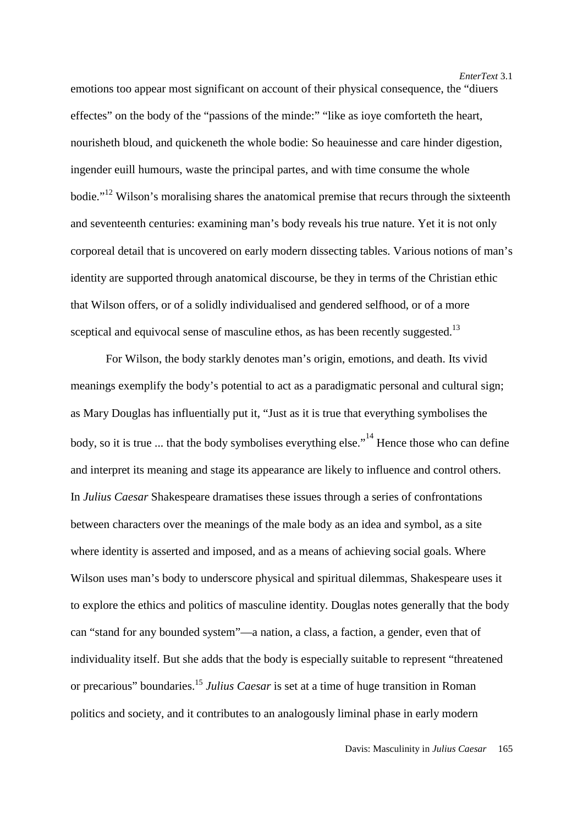emotions too appear most significant on account of their physical consequence, the "diuers effectes" on the body of the "passions of the minde:" "like as ioye comforteth the heart, nourisheth bloud, and quickeneth the whole bodie: So heauinesse and care hinder digestion, ingender euill humours, waste the principal partes, and with time consume the whole bodie."<sup>12</sup> Wilson's moralising shares the anatomical premise that recurs through the sixteenth and seventeenth centuries: examining man's body reveals his true nature. Yet it is not only corporeal detail that is uncovered on early modern dissecting tables. Various notions of man's identity are supported through anatomical discourse, be they in terms of the Christian ethic that Wilson offers, or of a solidly individualised and gendered selfhood, or of a more sceptical and equivocal sense of masculine ethos, as has been recently suggested.<sup>13</sup>

For Wilson, the body starkly denotes man's origin, emotions, and death. Its vivid meanings exemplify the body's potential to act as a paradigmatic personal and cultural sign; as Mary Douglas has influentially put it, "Just as it is true that everything symbolises the body, so it is true ... that the body symbolises everything else."<sup>14</sup> Hence those who can define and interpret its meaning and stage its appearance are likely to influence and control others. In *Julius Caesar* Shakespeare dramatises these issues through a series of confrontations between characters over the meanings of the male body as an idea and symbol, as a site where identity is asserted and imposed, and as a means of achieving social goals. Where Wilson uses man's body to underscore physical and spiritual dilemmas, Shakespeare uses it to explore the ethics and politics of masculine identity. Douglas notes generally that the body can "stand for any bounded system"—a nation, a class, a faction, a gender, even that of individuality itself. But she adds that the body is especially suitable to represent "threatened or precarious" boundaries.15 *Julius Caesar* is set at a time of huge transition in Roman politics and society, and it contributes to an analogously liminal phase in early modern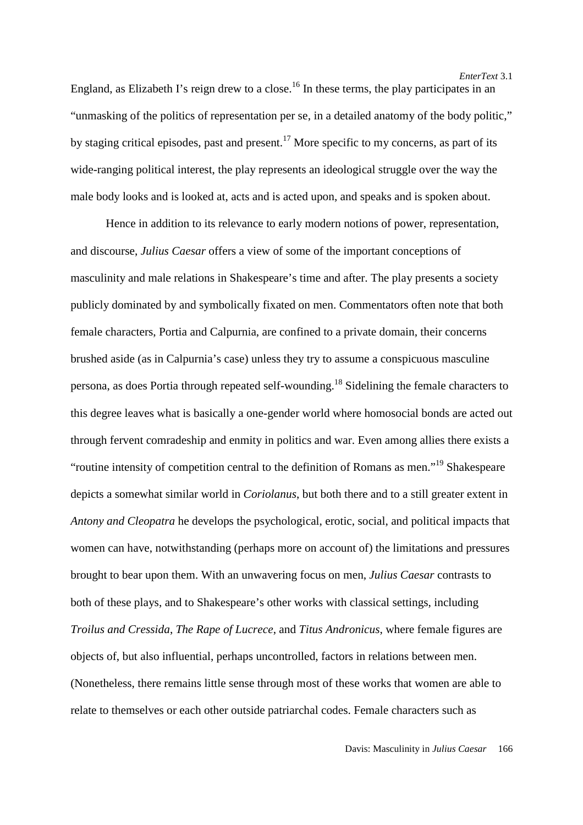England, as Elizabeth I's reign drew to a close.<sup>16</sup> In these terms, the play participates in an "unmasking of the politics of representation per se, in a detailed anatomy of the body politic," by staging critical episodes, past and present.<sup>17</sup> More specific to my concerns, as part of its wide-ranging political interest, the play represents an ideological struggle over the way the male body looks and is looked at, acts and is acted upon, and speaks and is spoken about.

Hence in addition to its relevance to early modern notions of power, representation, and discourse, *Julius Caesar* offers a view of some of the important conceptions of masculinity and male relations in Shakespeare's time and after. The play presents a society publicly dominated by and symbolically fixated on men. Commentators often note that both female characters, Portia and Calpurnia, are confined to a private domain, their concerns brushed aside (as in Calpurnia's case) unless they try to assume a conspicuous masculine persona, as does Portia through repeated self-wounding.18 Sidelining the female characters to this degree leaves what is basically a one-gender world where homosocial bonds are acted out through fervent comradeship and enmity in politics and war. Even among allies there exists a "routine intensity of competition central to the definition of Romans as men."19 Shakespeare depicts a somewhat similar world in *Coriolanus*, but both there and to a still greater extent in *Antony and Cleopatra* he develops the psychological, erotic, social, and political impacts that women can have, notwithstanding (perhaps more on account of) the limitations and pressures brought to bear upon them. With an unwavering focus on men, *Julius Caesar* contrasts to both of these plays, and to Shakespeare's other works with classical settings, including *Troilus and Cressida*, *The Rape of Lucrece*, and *Titus Andronicus*, where female figures are objects of, but also influential, perhaps uncontrolled, factors in relations between men. (Nonetheless, there remains little sense through most of these works that women are able to relate to themselves or each other outside patriarchal codes. Female characters such as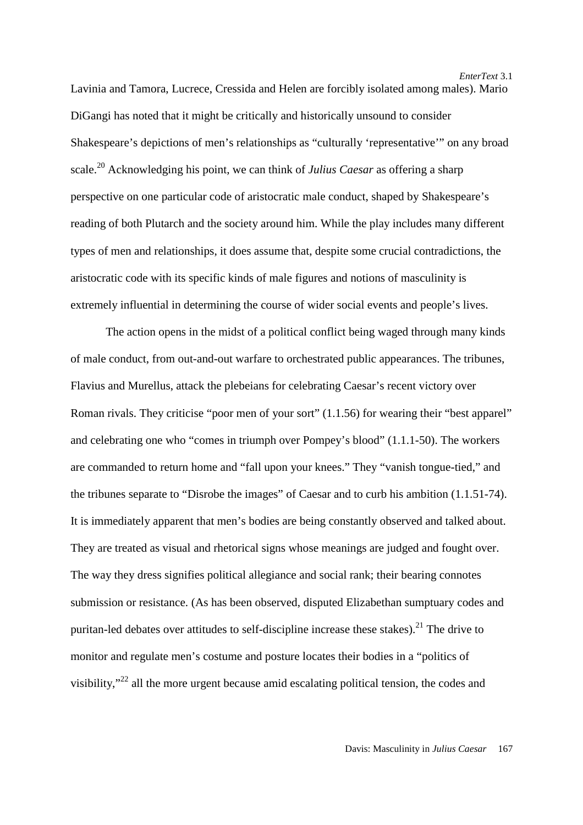Lavinia and Tamora, Lucrece, Cressida and Helen are forcibly isolated among males). Mario DiGangi has noted that it might be critically and historically unsound to consider Shakespeare's depictions of men's relationships as "culturally 'representative'" on any broad scale.20 Acknowledging his point, we can think of *Julius Caesar* as offering a sharp perspective on one particular code of aristocratic male conduct, shaped by Shakespeare's reading of both Plutarch and the society around him. While the play includes many different types of men and relationships, it does assume that, despite some crucial contradictions, the aristocratic code with its specific kinds of male figures and notions of masculinity is extremely influential in determining the course of wider social events and people's lives.

The action opens in the midst of a political conflict being waged through many kinds of male conduct, from out-and-out warfare to orchestrated public appearances. The tribunes, Flavius and Murellus, attack the plebeians for celebrating Caesar's recent victory over Roman rivals. They criticise "poor men of your sort" (1.1.56) for wearing their "best apparel" and celebrating one who "comes in triumph over Pompey's blood" (1.1.1-50). The workers are commanded to return home and "fall upon your knees." They "vanish tongue-tied," and the tribunes separate to "Disrobe the images" of Caesar and to curb his ambition (1.1.51-74). It is immediately apparent that men's bodies are being constantly observed and talked about. They are treated as visual and rhetorical signs whose meanings are judged and fought over. The way they dress signifies political allegiance and social rank; their bearing connotes submission or resistance. (As has been observed, disputed Elizabethan sumptuary codes and puritan-led debates over attitudes to self-discipline increase these stakes).<sup>21</sup> The drive to monitor and regulate men's costume and posture locates their bodies in a "politics of visibility,"22 all the more urgent because amid escalating political tension, the codes and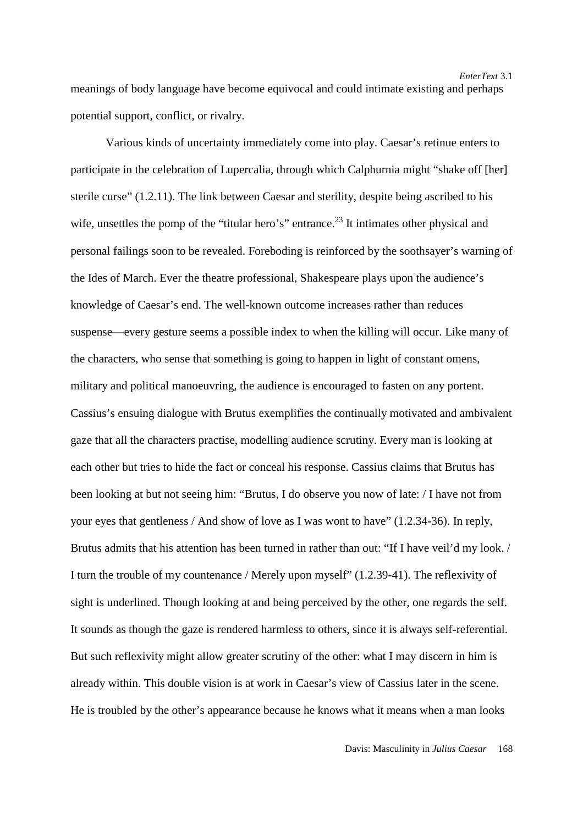meanings of body language have become equivocal and could intimate existing and perhaps potential support, conflict, or rivalry.

Various kinds of uncertainty immediately come into play. Caesar's retinue enters to participate in the celebration of Lupercalia, through which Calphurnia might "shake off [her] sterile curse" (1.2.11). The link between Caesar and sterility, despite being ascribed to his wife, unsettles the pomp of the "titular hero's" entrance.<sup>23</sup> It intimates other physical and personal failings soon to be revealed. Foreboding is reinforced by the soothsayer's warning of the Ides of March. Ever the theatre professional, Shakespeare plays upon the audience's knowledge of Caesar's end. The well-known outcome increases rather than reduces suspense—every gesture seems a possible index to when the killing will occur. Like many of the characters, who sense that something is going to happen in light of constant omens, military and political manoeuvring, the audience is encouraged to fasten on any portent. Cassius's ensuing dialogue with Brutus exemplifies the continually motivated and ambivalent gaze that all the characters practise, modelling audience scrutiny. Every man is looking at each other but tries to hide the fact or conceal his response. Cassius claims that Brutus has been looking at but not seeing him: "Brutus, I do observe you now of late: / I have not from your eyes that gentleness / And show of love as I was wont to have" (1.2.34-36). In reply, Brutus admits that his attention has been turned in rather than out: "If I have veil'd my look, / I turn the trouble of my countenance / Merely upon myself" (1.2.39-41). The reflexivity of sight is underlined. Though looking at and being perceived by the other, one regards the self. It sounds as though the gaze is rendered harmless to others, since it is always self-referential. But such reflexivity might allow greater scrutiny of the other: what I may discern in him is already within. This double vision is at work in Caesar's view of Cassius later in the scene. He is troubled by the other's appearance because he knows what it means when a man looks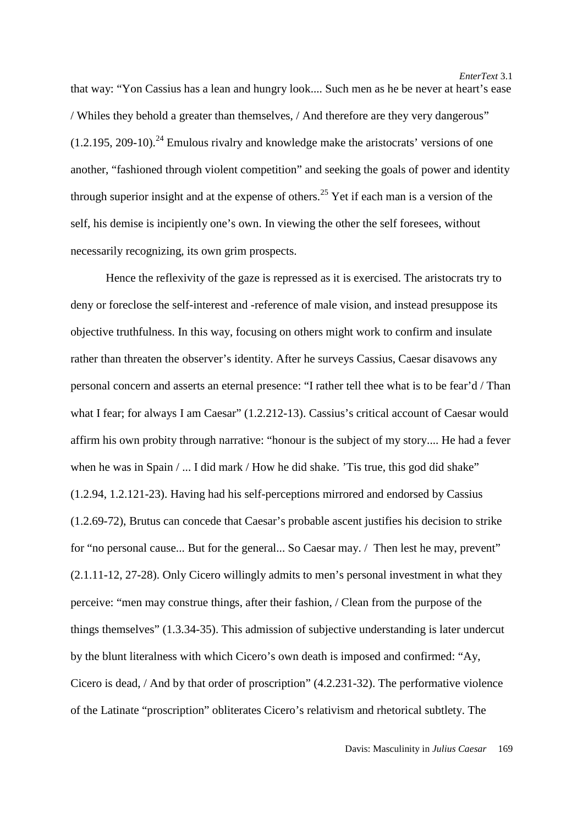that way: "Yon Cassius has a lean and hungry look.... Such men as he be never at heart's ease / Whiles they behold a greater than themselves, / And therefore are they very dangerous"  $(1.2.195, 209-10).^{24}$  Emulous rivalry and knowledge make the aristocrats' versions of one another, "fashioned through violent competition" and seeking the goals of power and identity through superior insight and at the expense of others.<sup>25</sup> Yet if each man is a version of the self, his demise is incipiently one's own. In viewing the other the self foresees, without necessarily recognizing, its own grim prospects.

Hence the reflexivity of the gaze is repressed as it is exercised. The aristocrats try to deny or foreclose the self-interest and -reference of male vision, and instead presuppose its objective truthfulness. In this way, focusing on others might work to confirm and insulate rather than threaten the observer's identity. After he surveys Cassius, Caesar disavows any personal concern and asserts an eternal presence: "I rather tell thee what is to be fear'd / Than what I fear; for always I am Caesar" (1.2.212-13). Cassius's critical account of Caesar would affirm his own probity through narrative: "honour is the subject of my story.... He had a fever when he was in Spain / ... I did mark / How he did shake. 'Tis true, this god did shake" (1.2.94, 1.2.121-23). Having had his self-perceptions mirrored and endorsed by Cassius (1.2.69-72), Brutus can concede that Caesar's probable ascent justifies his decision to strike for "no personal cause... But for the general... So Caesar may. / Then lest he may, prevent" (2.1.11-12, 27-28). Only Cicero willingly admits to men's personal investment in what they perceive: "men may construe things, after their fashion, / Clean from the purpose of the things themselves" (1.3.34-35). This admission of subjective understanding is later undercut by the blunt literalness with which Cicero's own death is imposed and confirmed: "Ay, Cicero is dead, / And by that order of proscription" (4.2.231-32). The performative violence of the Latinate "proscription" obliterates Cicero's relativism and rhetorical subtlety. The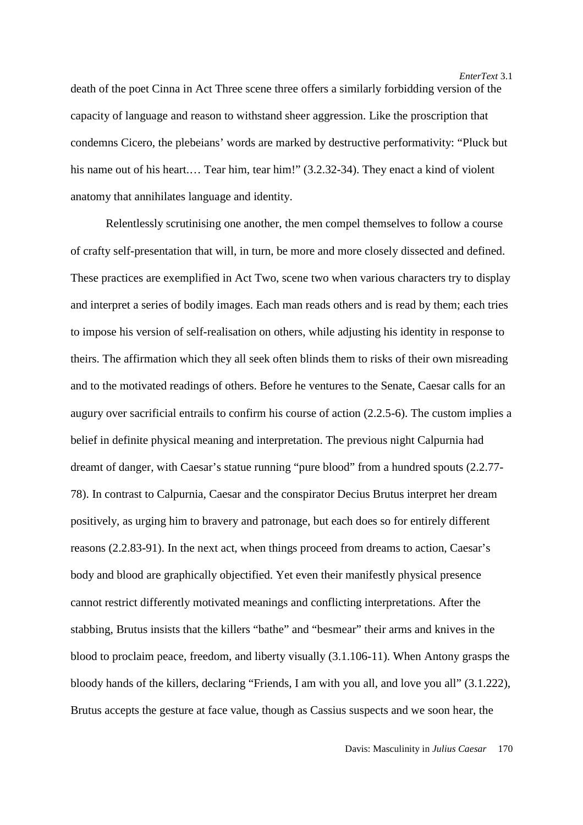death of the poet Cinna in Act Three scene three offers a similarly forbidding version of the capacity of language and reason to withstand sheer aggression. Like the proscription that condemns Cicero, the plebeians' words are marked by destructive performativity: "Pluck but his name out of his heart.… Tear him, tear him!" (3.2.32-34). They enact a kind of violent anatomy that annihilates language and identity.

Relentlessly scrutinising one another, the men compel themselves to follow a course of crafty self-presentation that will, in turn, be more and more closely dissected and defined. These practices are exemplified in Act Two, scene two when various characters try to display and interpret a series of bodily images. Each man reads others and is read by them; each tries to impose his version of self-realisation on others, while adjusting his identity in response to theirs. The affirmation which they all seek often blinds them to risks of their own misreading and to the motivated readings of others. Before he ventures to the Senate, Caesar calls for an augury over sacrificial entrails to confirm his course of action (2.2.5-6). The custom implies a belief in definite physical meaning and interpretation. The previous night Calpurnia had dreamt of danger, with Caesar's statue running "pure blood" from a hundred spouts (2.2.77- 78). In contrast to Calpurnia, Caesar and the conspirator Decius Brutus interpret her dream positively, as urging him to bravery and patronage, but each does so for entirely different reasons (2.2.83-91). In the next act, when things proceed from dreams to action, Caesar's body and blood are graphically objectified. Yet even their manifestly physical presence cannot restrict differently motivated meanings and conflicting interpretations. After the stabbing, Brutus insists that the killers "bathe" and "besmear" their arms and knives in the blood to proclaim peace, freedom, and liberty visually (3.1.106-11). When Antony grasps the bloody hands of the killers, declaring "Friends, I am with you all, and love you all" (3.1.222), Brutus accepts the gesture at face value, though as Cassius suspects and we soon hear, the

*EnterText* 3.1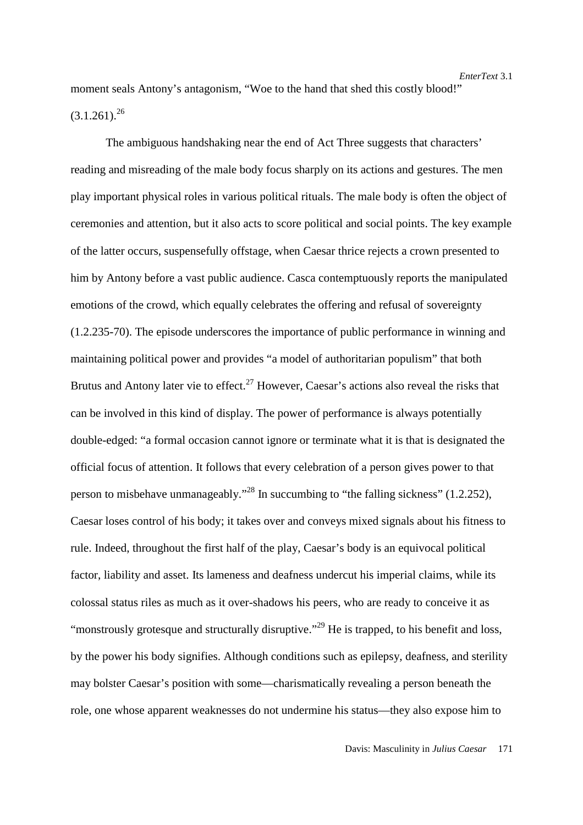*EnterText* 3.1 moment seals Antony's antagonism, "Woe to the hand that shed this costly blood!"  $(3.1.261).^{26}$ 

The ambiguous handshaking near the end of Act Three suggests that characters' reading and misreading of the male body focus sharply on its actions and gestures. The men play important physical roles in various political rituals. The male body is often the object of ceremonies and attention, but it also acts to score political and social points. The key example of the latter occurs, suspensefully offstage, when Caesar thrice rejects a crown presented to him by Antony before a vast public audience. Casca contemptuously reports the manipulated emotions of the crowd, which equally celebrates the offering and refusal of sovereignty (1.2.235-70). The episode underscores the importance of public performance in winning and maintaining political power and provides "a model of authoritarian populism" that both Brutus and Antony later vie to effect.<sup>27</sup> However, Caesar's actions also reveal the risks that can be involved in this kind of display. The power of performance is always potentially double-edged: "a formal occasion cannot ignore or terminate what it is that is designated the official focus of attention. It follows that every celebration of a person gives power to that person to misbehave unmanageably."28 In succumbing to "the falling sickness" (1.2.252), Caesar loses control of his body; it takes over and conveys mixed signals about his fitness to rule. Indeed, throughout the first half of the play, Caesar's body is an equivocal political factor, liability and asset. Its lameness and deafness undercut his imperial claims, while its colossal status riles as much as it over-shadows his peers, who are ready to conceive it as "monstrously grotesque and structurally disruptive."<sup>29</sup> He is trapped, to his benefit and loss, by the power his body signifies. Although conditions such as epilepsy, deafness, and sterility may bolster Caesar's position with some—charismatically revealing a person beneath the role, one whose apparent weaknesses do not undermine his status—they also expose him to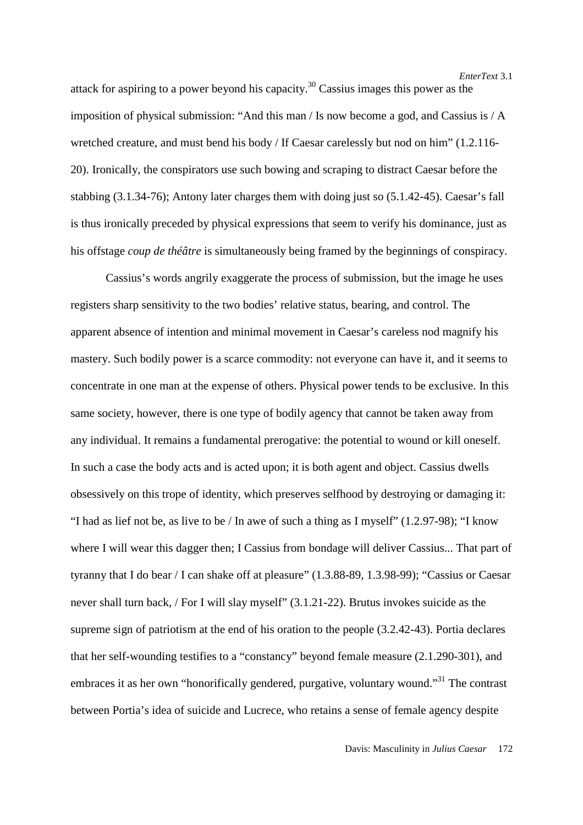attack for aspiring to a power beyond his capacity.<sup>30</sup> Cassius images this power as the imposition of physical submission: "And this man / Is now become a god, and Cassius is / A wretched creature, and must bend his body / If Caesar carelessly but nod on him" (1.2.116- 20). Ironically, the conspirators use such bowing and scraping to distract Caesar before the stabbing (3.1.34-76); Antony later charges them with doing just so (5.1.42-45). Caesar's fall is thus ironically preceded by physical expressions that seem to verify his dominance, just as his offstage *coup de théâtre* is simultaneously being framed by the beginnings of conspiracy.

Cassius's words angrily exaggerate the process of submission, but the image he uses registers sharp sensitivity to the two bodies' relative status, bearing, and control. The apparent absence of intention and minimal movement in Caesar's careless nod magnify his mastery. Such bodily power is a scarce commodity: not everyone can have it, and it seems to concentrate in one man at the expense of others. Physical power tends to be exclusive. In this same society, however, there is one type of bodily agency that cannot be taken away from any individual. It remains a fundamental prerogative: the potential to wound or kill oneself. In such a case the body acts and is acted upon; it is both agent and object. Cassius dwells obsessively on this trope of identity, which preserves selfhood by destroying or damaging it: "I had as lief not be, as live to be / In awe of such a thing as I myself" (1.2.97-98); "I know where I will wear this dagger then; I Cassius from bondage will deliver Cassius... That part of tyranny that I do bear / I can shake off at pleasure" (1.3.88-89, 1.3.98-99); "Cassius or Caesar never shall turn back, / For I will slay myself" (3.1.21-22). Brutus invokes suicide as the supreme sign of patriotism at the end of his oration to the people (3.2.42-43). Portia declares that her self-wounding testifies to a "constancy" beyond female measure (2.1.290-301), and embraces it as her own "honorifically gendered, purgative, voluntary wound."<sup>31</sup> The contrast between Portia's idea of suicide and Lucrece, who retains a sense of female agency despite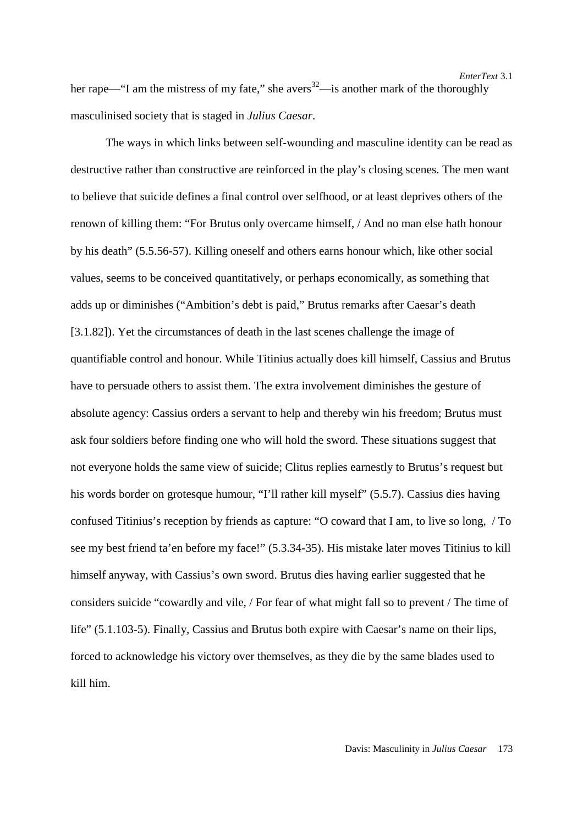*EnterText* 3.1 her rape—"I am the mistress of my fate," she avers<sup>32</sup>—is another mark of the thoroughly masculinised society that is staged in *Julius Caesar*.

The ways in which links between self-wounding and masculine identity can be read as destructive rather than constructive are reinforced in the play's closing scenes. The men want to believe that suicide defines a final control over selfhood, or at least deprives others of the renown of killing them: "For Brutus only overcame himself, / And no man else hath honour by his death" (5.5.56-57). Killing oneself and others earns honour which, like other social values, seems to be conceived quantitatively, or perhaps economically, as something that adds up or diminishes ("Ambition's debt is paid," Brutus remarks after Caesar's death [3.1.82]). Yet the circumstances of death in the last scenes challenge the image of quantifiable control and honour. While Titinius actually does kill himself, Cassius and Brutus have to persuade others to assist them. The extra involvement diminishes the gesture of absolute agency: Cassius orders a servant to help and thereby win his freedom; Brutus must ask four soldiers before finding one who will hold the sword. These situations suggest that not everyone holds the same view of suicide; Clitus replies earnestly to Brutus's request but his words border on grotesque humour, "I'll rather kill myself" (5.5.7). Cassius dies having confused Titinius's reception by friends as capture: "O coward that I am, to live so long, / To see my best friend ta'en before my face!" (5.3.34-35). His mistake later moves Titinius to kill himself anyway, with Cassius's own sword. Brutus dies having earlier suggested that he considers suicide "cowardly and vile, / For fear of what might fall so to prevent / The time of life" (5.1.103-5). Finally, Cassius and Brutus both expire with Caesar's name on their lips, forced to acknowledge his victory over themselves, as they die by the same blades used to kill him.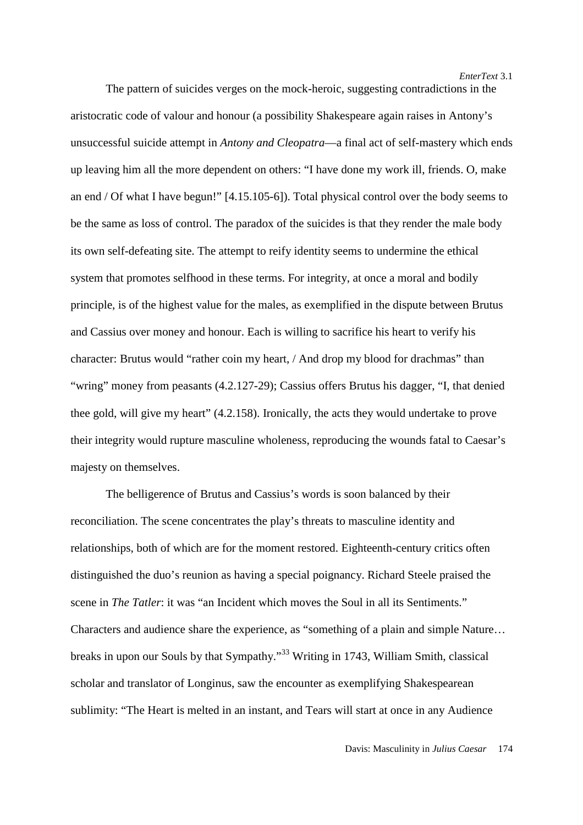The pattern of suicides verges on the mock-heroic, suggesting contradictions in the aristocratic code of valour and honour (a possibility Shakespeare again raises in Antony's unsuccessful suicide attempt in *Antony and Cleopatra*—a final act of self-mastery which ends up leaving him all the more dependent on others: "I have done my work ill, friends. O, make an end / Of what I have begun!" [4.15.105-6]). Total physical control over the body seems to be the same as loss of control. The paradox of the suicides is that they render the male body its own self-defeating site. The attempt to reify identity seems to undermine the ethical system that promotes selfhood in these terms. For integrity, at once a moral and bodily principle, is of the highest value for the males, as exemplified in the dispute between Brutus and Cassius over money and honour. Each is willing to sacrifice his heart to verify his character: Brutus would "rather coin my heart, / And drop my blood for drachmas" than "wring" money from peasants (4.2.127-29); Cassius offers Brutus his dagger, "I, that denied thee gold, will give my heart" (4.2.158). Ironically, the acts they would undertake to prove their integrity would rupture masculine wholeness, reproducing the wounds fatal to Caesar's majesty on themselves.

The belligerence of Brutus and Cassius's words is soon balanced by their reconciliation. The scene concentrates the play's threats to masculine identity and relationships, both of which are for the moment restored. Eighteenth-century critics often distinguished the duo's reunion as having a special poignancy. Richard Steele praised the scene in *The Tatler*: it was "an Incident which moves the Soul in all its Sentiments." Characters and audience share the experience, as "something of a plain and simple Nature… breaks in upon our Souls by that Sympathy."33 Writing in 1743, William Smith, classical scholar and translator of Longinus, saw the encounter as exemplifying Shakespearean sublimity: "The Heart is melted in an instant, and Tears will start at once in any Audience

*EnterText* 3.1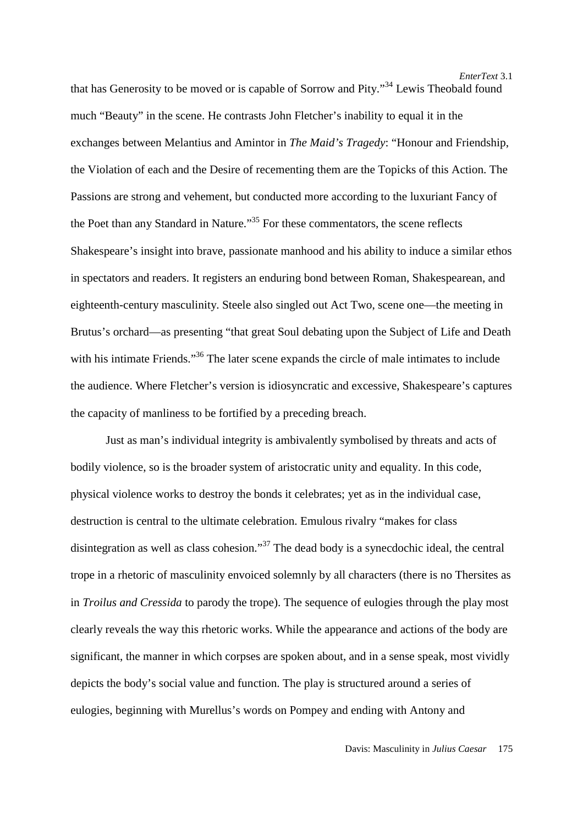that has Generosity to be moved or is capable of Sorrow and Pity."34 Lewis Theobald found much "Beauty" in the scene. He contrasts John Fletcher's inability to equal it in the exchanges between Melantius and Amintor in *The Maid's Tragedy*: "Honour and Friendship, the Violation of each and the Desire of recementing them are the Topicks of this Action. The Passions are strong and vehement, but conducted more according to the luxuriant Fancy of the Poet than any Standard in Nature."35 For these commentators, the scene reflects Shakespeare's insight into brave, passionate manhood and his ability to induce a similar ethos in spectators and readers. It registers an enduring bond between Roman, Shakespearean, and eighteenth-century masculinity. Steele also singled out Act Two, scene one—the meeting in Brutus's orchard—as presenting "that great Soul debating upon the Subject of Life and Death with his intimate Friends."<sup>36</sup> The later scene expands the circle of male intimates to include the audience. Where Fletcher's version is idiosyncratic and excessive, Shakespeare's captures the capacity of manliness to be fortified by a preceding breach.

Just as man's individual integrity is ambivalently symbolised by threats and acts of bodily violence, so is the broader system of aristocratic unity and equality. In this code, physical violence works to destroy the bonds it celebrates; yet as in the individual case, destruction is central to the ultimate celebration. Emulous rivalry "makes for class disintegration as well as class cohesion."<sup>37</sup> The dead body is a synecdochic ideal, the central trope in a rhetoric of masculinity envoiced solemnly by all characters (there is no Thersites as in *Troilus and Cressida* to parody the trope). The sequence of eulogies through the play most clearly reveals the way this rhetoric works. While the appearance and actions of the body are significant, the manner in which corpses are spoken about, and in a sense speak, most vividly depicts the body's social value and function. The play is structured around a series of eulogies, beginning with Murellus's words on Pompey and ending with Antony and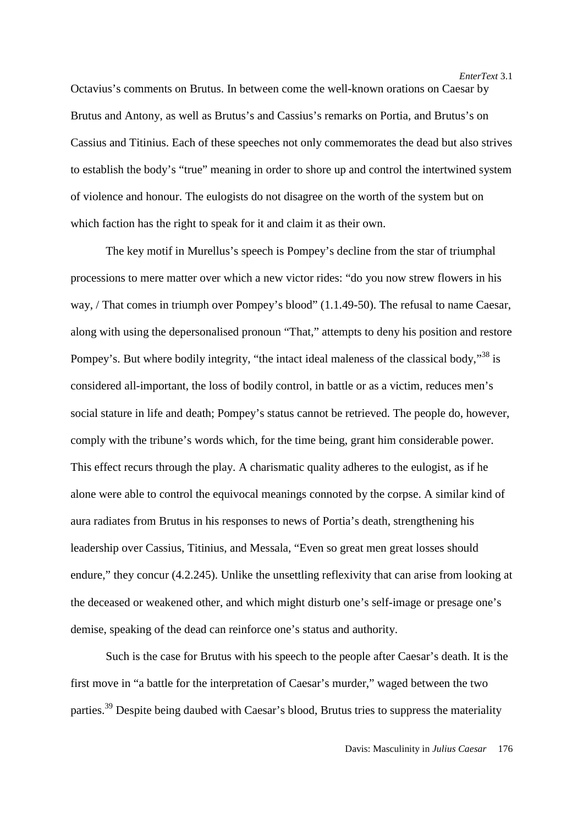Octavius's comments on Brutus. In between come the well-known orations on Caesar by Brutus and Antony, as well as Brutus's and Cassius's remarks on Portia, and Brutus's on Cassius and Titinius. Each of these speeches not only commemorates the dead but also strives to establish the body's "true" meaning in order to shore up and control the intertwined system of violence and honour. The eulogists do not disagree on the worth of the system but on which faction has the right to speak for it and claim it as their own.

The key motif in Murellus's speech is Pompey's decline from the star of triumphal processions to mere matter over which a new victor rides: "do you now strew flowers in his way, / That comes in triumph over Pompey's blood" (1.1.49-50). The refusal to name Caesar, along with using the depersonalised pronoun "That," attempts to deny his position and restore Pompey's. But where bodily integrity, "the intact ideal maleness of the classical body,"<sup>38</sup> is considered all-important, the loss of bodily control, in battle or as a victim, reduces men's social stature in life and death; Pompey's status cannot be retrieved. The people do, however, comply with the tribune's words which, for the time being, grant him considerable power. This effect recurs through the play. A charismatic quality adheres to the eulogist, as if he alone were able to control the equivocal meanings connoted by the corpse. A similar kind of aura radiates from Brutus in his responses to news of Portia's death, strengthening his leadership over Cassius, Titinius, and Messala, "Even so great men great losses should endure," they concur (4.2.245). Unlike the unsettling reflexivity that can arise from looking at the deceased or weakened other, and which might disturb one's self-image or presage one's demise, speaking of the dead can reinforce one's status and authority.

Such is the case for Brutus with his speech to the people after Caesar's death. It is the first move in "a battle for the interpretation of Caesar's murder," waged between the two parties.<sup>39</sup> Despite being daubed with Caesar's blood, Brutus tries to suppress the materiality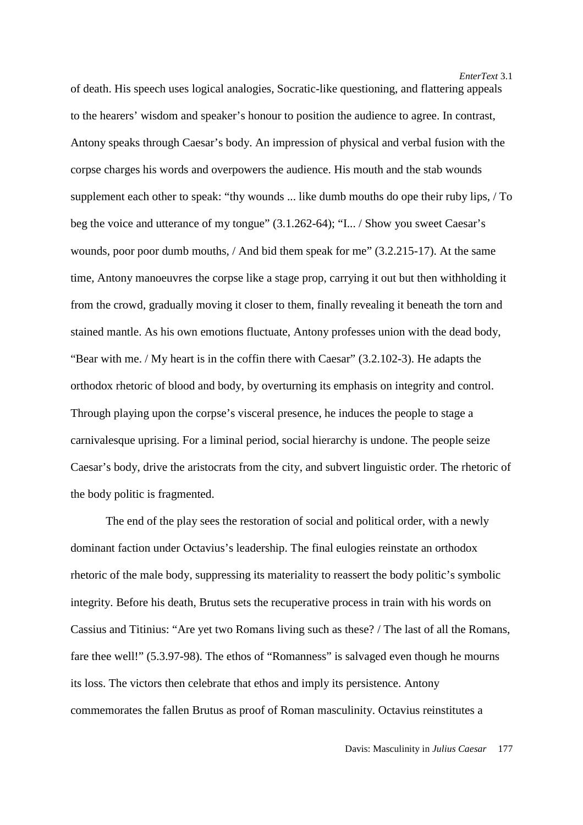of death. His speech uses logical analogies, Socratic-like questioning, and flattering appeals to the hearers' wisdom and speaker's honour to position the audience to agree. In contrast, Antony speaks through Caesar's body. An impression of physical and verbal fusion with the corpse charges his words and overpowers the audience. His mouth and the stab wounds supplement each other to speak: "thy wounds ... like dumb mouths do ope their ruby lips, / To beg the voice and utterance of my tongue" (3.1.262-64); "I... / Show you sweet Caesar's wounds, poor poor dumb mouths, / And bid them speak for me" (3.2.215-17). At the same time, Antony manoeuvres the corpse like a stage prop, carrying it out but then withholding it from the crowd, gradually moving it closer to them, finally revealing it beneath the torn and stained mantle. As his own emotions fluctuate, Antony professes union with the dead body, "Bear with me. / My heart is in the coffin there with Caesar" (3.2.102-3). He adapts the orthodox rhetoric of blood and body, by overturning its emphasis on integrity and control. Through playing upon the corpse's visceral presence, he induces the people to stage a carnivalesque uprising. For a liminal period, social hierarchy is undone. The people seize Caesar's body, drive the aristocrats from the city, and subvert linguistic order. The rhetoric of the body politic is fragmented.

The end of the play sees the restoration of social and political order, with a newly dominant faction under Octavius's leadership. The final eulogies reinstate an orthodox rhetoric of the male body, suppressing its materiality to reassert the body politic's symbolic integrity. Before his death, Brutus sets the recuperative process in train with his words on Cassius and Titinius: "Are yet two Romans living such as these? / The last of all the Romans, fare thee well!" (5.3.97-98). The ethos of "Romanness" is salvaged even though he mourns its loss. The victors then celebrate that ethos and imply its persistence. Antony commemorates the fallen Brutus as proof of Roman masculinity. Octavius reinstitutes a

Davis: Masculinity in *Julius Caesar* 177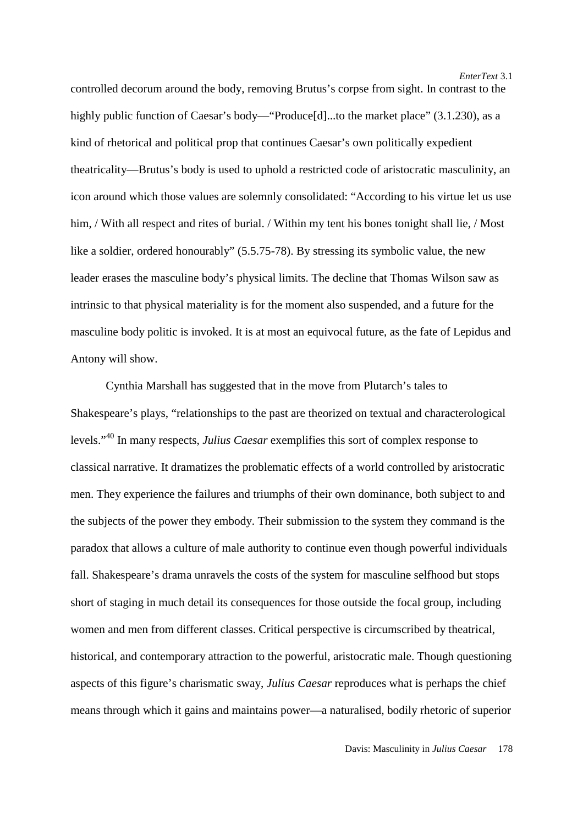controlled decorum around the body, removing Brutus's corpse from sight. In contrast to the highly public function of Caesar's body—"Produce[d]...to the market place" (3.1.230), as a kind of rhetorical and political prop that continues Caesar's own politically expedient theatricality—Brutus's body is used to uphold a restricted code of aristocratic masculinity, an icon around which those values are solemnly consolidated: "According to his virtue let us use him, / With all respect and rites of burial. / Within my tent his bones tonight shall lie, / Most like a soldier, ordered honourably" (5.5.75-78). By stressing its symbolic value, the new leader erases the masculine body's physical limits. The decline that Thomas Wilson saw as intrinsic to that physical materiality is for the moment also suspended, and a future for the masculine body politic is invoked. It is at most an equivocal future, as the fate of Lepidus and Antony will show.

Cynthia Marshall has suggested that in the move from Plutarch's tales to Shakespeare's plays, "relationships to the past are theorized on textual and characterological levels."40 In many respects, *Julius Caesar* exemplifies this sort of complex response to classical narrative. It dramatizes the problematic effects of a world controlled by aristocratic men. They experience the failures and triumphs of their own dominance, both subject to and the subjects of the power they embody. Their submission to the system they command is the paradox that allows a culture of male authority to continue even though powerful individuals fall. Shakespeare's drama unravels the costs of the system for masculine selfhood but stops short of staging in much detail its consequences for those outside the focal group, including women and men from different classes. Critical perspective is circumscribed by theatrical, historical, and contemporary attraction to the powerful, aristocratic male. Though questioning aspects of this figure's charismatic sway, *Julius Caesar* reproduces what is perhaps the chief means through which it gains and maintains power—a naturalised, bodily rhetoric of superior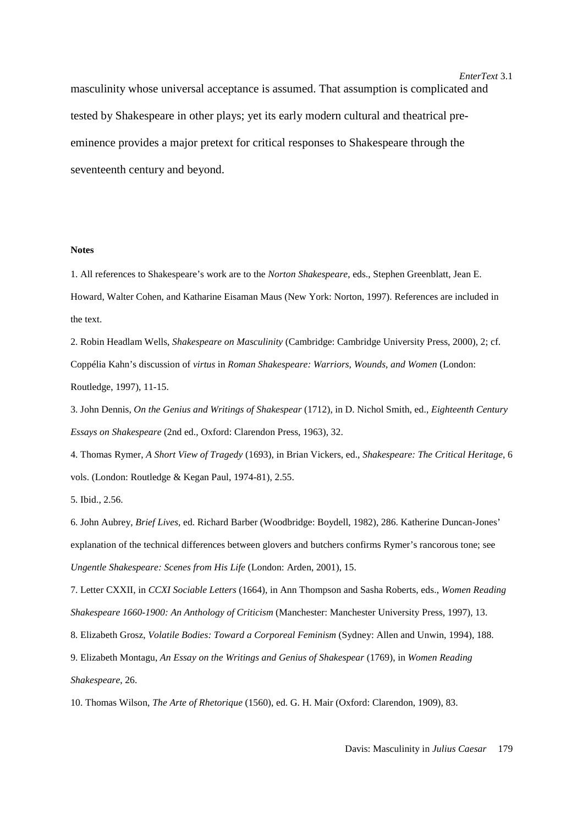masculinity whose universal acceptance is assumed. That assumption is complicated and tested by Shakespeare in other plays; yet its early modern cultural and theatrical preeminence provides a major pretext for critical responses to Shakespeare through the seventeenth century and beyond.

### **Notes**

1. All references to Shakespeare's work are to the *Norton Shakespeare*, eds., Stephen Greenblatt, Jean E. Howard, Walter Cohen, and Katharine Eisaman Maus (New York: Norton, 1997). References are included in the text.

2. Robin Headlam Wells, *Shakespeare on Masculinity* (Cambridge: Cambridge University Press, 2000), 2; cf. Coppélia Kahn's discussion of *virtus* in *Roman Shakespeare: Warriors, Wounds, and Women* (London: Routledge, 1997), 11-15.

3. John Dennis, *On the Genius and Writings of Shakespear* (1712), in D. Nichol Smith, ed., *Eighteenth Century Essays on Shakespeare* (2nd ed., Oxford: Clarendon Press, 1963), 32.

4. Thomas Rymer, *A Short View of Tragedy* (1693), in Brian Vickers, ed., *Shakespeare: The Critical Heritage*, 6 vols. (London: Routledge & Kegan Paul, 1974-81), 2.55.

5. Ibid., 2.56.

6. John Aubrey, *Brief Lives*, ed. Richard Barber (Woodbridge: Boydell, 1982), 286. Katherine Duncan-Jones' explanation of the technical differences between glovers and butchers confirms Rymer's rancorous tone; see *Ungentle Shakespeare: Scenes from His Life* (London: Arden, 2001), 15.

7. Letter CXXII, in *CCXI Sociable Letters* (1664), in Ann Thompson and Sasha Roberts, eds., *Women Reading Shakespeare 1660-1900: An Anthology of Criticism* (Manchester: Manchester University Press, 1997), 13.

8. Elizabeth Grosz, *Volatile Bodies: Toward a Corporeal Feminism* (Sydney: Allen and Unwin, 1994), 188.

9. Elizabeth Montagu, *An Essay on the Writings and Genius of Shakespear* (1769), in *Women Reading Shakespeare*, 26.

10. Thomas Wilson, *The Arte of Rhetorique* (1560), ed. G. H. Mair (Oxford: Clarendon, 1909), 83.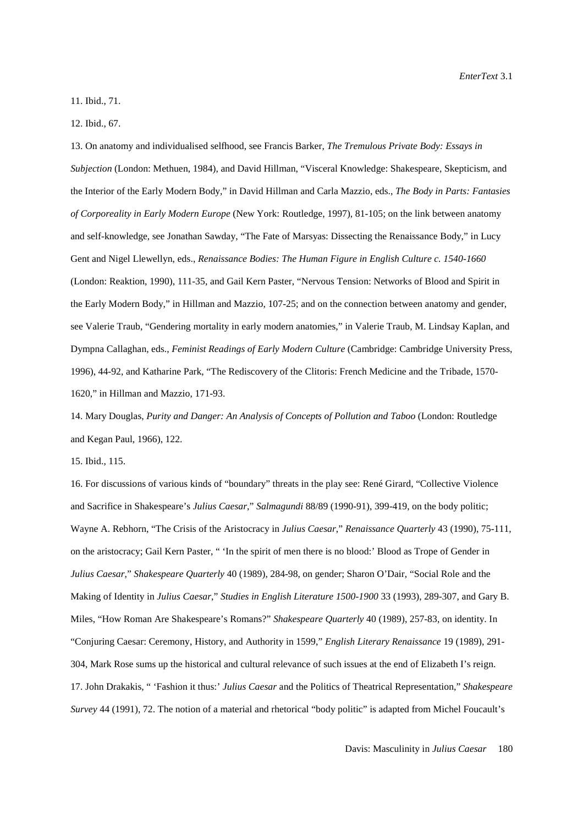11. Ibid., 71.

12. Ibid., 67.

13. On anatomy and individualised selfhood, see Francis Barker, *The Tremulous Private Body: Essays in Subjection* (London: Methuen, 1984), and David Hillman, "Visceral Knowledge: Shakespeare, Skepticism, and the Interior of the Early Modern Body," in David Hillman and Carla Mazzio, eds., *The Body in Parts: Fantasies of Corporeality in Early Modern Europe* (New York: Routledge, 1997), 81-105; on the link between anatomy and self-knowledge, see Jonathan Sawday, "The Fate of Marsyas: Dissecting the Renaissance Body," in Lucy Gent and Nigel Llewellyn, eds., *Renaissance Bodies: The Human Figure in English Culture c. 1540-1660* (London: Reaktion, 1990), 111-35, and Gail Kern Paster, "Nervous Tension: Networks of Blood and Spirit in the Early Modern Body," in Hillman and Mazzio, 107-25; and on the connection between anatomy and gender, see Valerie Traub, "Gendering mortality in early modern anatomies," in Valerie Traub, M. Lindsay Kaplan, and Dympna Callaghan, eds., *Feminist Readings of Early Modern Culture* (Cambridge: Cambridge University Press, 1996), 44-92, and Katharine Park, "The Rediscovery of the Clitoris: French Medicine and the Tribade, 1570- 1620," in Hillman and Mazzio, 171-93.

14. Mary Douglas, *Purity and Danger: An Analysis of Concepts of Pollution and Taboo* (London: Routledge and Kegan Paul, 1966), 122.

15. Ibid., 115.

16. For discussions of various kinds of "boundary" threats in the play see: René Girard, "Collective Violence and Sacrifice in Shakespeare's *Julius Caesar*," *Salmagundi* 88/89 (1990-91), 399-419, on the body politic; Wayne A. Rebhorn, "The Crisis of the Aristocracy in *Julius Caesar*," *Renaissance Quarterly* 43 (1990), 75-111, on the aristocracy; Gail Kern Paster, " 'In the spirit of men there is no blood:' Blood as Trope of Gender in *Julius Caesar*," *Shakespeare Quarterly* 40 (1989), 284-98, on gender; Sharon O'Dair, "Social Role and the Making of Identity in *Julius Caesar*," *Studies in English Literature 1500-1900* 33 (1993), 289-307, and Gary B. Miles, "How Roman Are Shakespeare's Romans?" *Shakespeare Quarterly* 40 (1989), 257-83, on identity. In "Conjuring Caesar: Ceremony, History, and Authority in 1599," *English Literary Renaissance* 19 (1989), 291- 304, Mark Rose sums up the historical and cultural relevance of such issues at the end of Elizabeth I's reign. 17. John Drakakis, " 'Fashion it thus:' *Julius Caesar* and the Politics of Theatrical Representation," *Shakespeare Survey* 44 (1991), 72. The notion of a material and rhetorical "body politic" is adapted from Michel Foucault's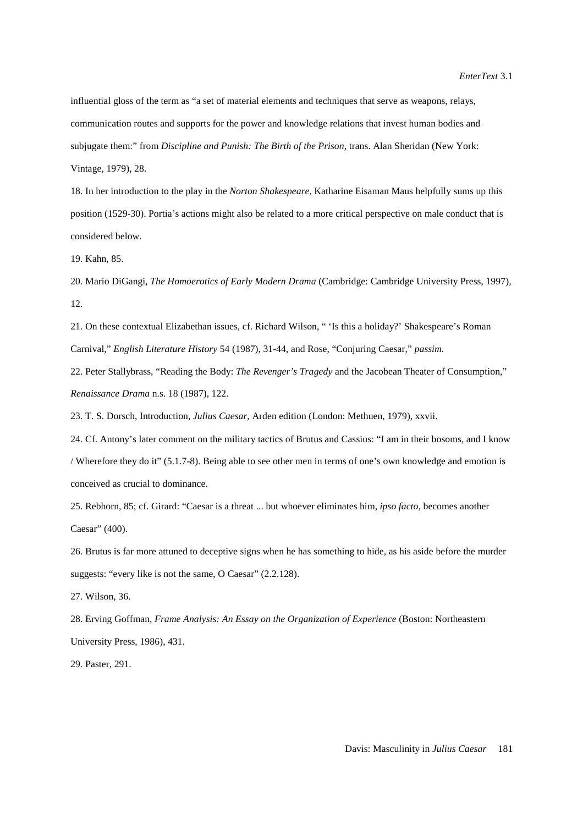influential gloss of the term as "a set of material elements and techniques that serve as weapons, relays, communication routes and supports for the power and knowledge relations that invest human bodies and subjugate them:" from *Discipline and Punish: The Birth of the Prison*, trans. Alan Sheridan (New York: Vintage, 1979), 28.

18. In her introduction to the play in the *Norton Shakespeare*, Katharine Eisaman Maus helpfully sums up this position (1529-30). Portia's actions might also be related to a more critical perspective on male conduct that is considered below.

19. Kahn, 85.

20. Mario DiGangi, *The Homoerotics of Early Modern Drama* (Cambridge: Cambridge University Press, 1997), 12.

21. On these contextual Elizabethan issues, cf. Richard Wilson, " 'Is this a holiday?' Shakespeare's Roman Carnival," *English Literature History* 54 (1987), 31-44, and Rose, "Conjuring Caesar," *passim*.

22. Peter Stallybrass, "Reading the Body: *The Revenger's Tragedy* and the Jacobean Theater of Consumption," *Renaissance Drama* n.s. 18 (1987), 122.

23. T. S. Dorsch, Introduction, *Julius Caesar*, Arden edition (London: Methuen, 1979), xxvii.

24. Cf. Antony's later comment on the military tactics of Brutus and Cassius: "I am in their bosoms, and I know / Wherefore they do it" (5.1.7-8). Being able to see other men in terms of one's own knowledge and emotion is conceived as crucial to dominance.

25. Rebhorn, 85; cf. Girard: "Caesar is a threat ... but whoever eliminates him, *ipso facto*, becomes another Caesar" (400).

26. Brutus is far more attuned to deceptive signs when he has something to hide, as his aside before the murder suggests: "every like is not the same, O Caesar" (2.2.128).

27. Wilson, 36.

28. Erving Goffman, *Frame Analysis: An Essay on the Organization of Experience* (Boston: Northeastern University Press, 1986), 431.

29. Paster, 291.